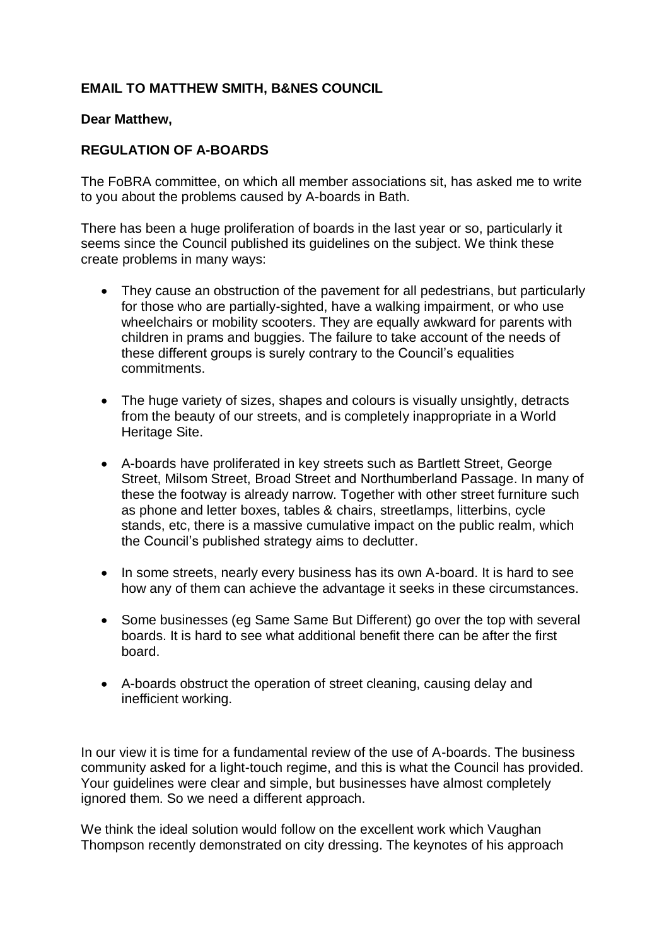## **EMAIL TO MATTHEW SMITH, B&NES COUNCIL**

## **Dear Matthew,**

## **REGULATION OF A-BOARDS**

The FoBRA committee, on which all member associations sit, has asked me to write to you about the problems caused by A-boards in Bath.

There has been a huge proliferation of boards in the last year or so, particularly it seems since the Council published its guidelines on the subject. We think these create problems in many ways:

- They cause an obstruction of the pavement for all pedestrians, but particularly for those who are partially-sighted, have a walking impairment, or who use wheelchairs or mobility scooters. They are equally awkward for parents with children in prams and buggies. The failure to take account of the needs of these different groups is surely contrary to the Council's equalities commitments.
- The huge variety of sizes, shapes and colours is visually unsightly, detracts from the beauty of our streets, and is completely inappropriate in a World Heritage Site.
- A-boards have proliferated in key streets such as Bartlett Street, George Street, Milsom Street, Broad Street and Northumberland Passage. In many of these the footway is already narrow. Together with other street furniture such as phone and letter boxes, tables & chairs, streetlamps, litterbins, cycle stands, etc, there is a massive cumulative impact on the public realm, which the Council's published strategy aims to declutter.
- In some streets, nearly every business has its own A-board. It is hard to see how any of them can achieve the advantage it seeks in these circumstances.
- Some businesses (eg Same Same But Different) go over the top with several boards. It is hard to see what additional benefit there can be after the first board.
- A-boards obstruct the operation of street cleaning, causing delay and inefficient working.

In our view it is time for a fundamental review of the use of A-boards. The business community asked for a light-touch regime, and this is what the Council has provided. Your guidelines were clear and simple, but businesses have almost completely ignored them. So we need a different approach.

We think the ideal solution would follow on the excellent work which Vaughan Thompson recently demonstrated on city dressing. The keynotes of his approach